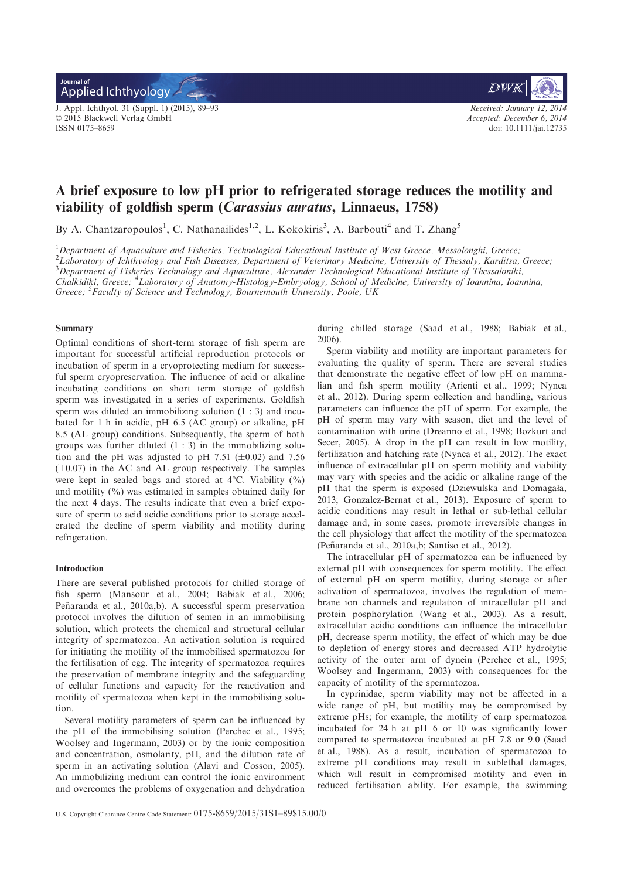Applied Ichthyology **Journal of**

J. Appl. Ichthyol. 31 (Suppl. 1) (2015), 89–93 © 2015 Blackwell Verlag GmbH ISSN 0175–8659



*Received: January 12, 2014 Accepted: December 6, 2014* doi: 10.1111/jai.12735

# A brief exposure to low pH prior to refrigerated storage reduces the motility and viability of goldfish sperm (Carassius auratus, Linnaeus, 1758)

By A. Chantzaropoulos<sup>1</sup>, C. Nathanailides<sup>1,2</sup>, L. Kokokiris<sup>3</sup>, A. Barbouti<sup>4</sup> and T. Zhang<sup>5</sup>

<sup>1</sup>*Department of Aquaculture and Fisheries, Technological Educational Institute of West Greece, Messolonghi, Greece;*

<sup>2</sup>*Laboratory of Ichthyology and Fish Diseases, Department of Veterinary Medicine, University of Thessaly, Karditsa, Greece;*

<sup>3</sup>*Department of Fisheries Technology and Aquaculture, Alexander Technological Educational Institute of Thessaloniki,*

*Chalkidiki, Greece;* <sup>4</sup>*Laboratory of Anatomy-Histology-Embryology, School of Medicine, University of Ioannina, Ioannina,*

*Greece;* <sup>5</sup> *Faculty of Science and Technology, Bournemouth University, Poole, UK*

## Summary

Optimal conditions of short-term storage of fish sperm are important for successful artificial reproduction protocols or incubation of sperm in a cryoprotecting medium for successful sperm cryopreservation. The influence of acid or alkaline incubating conditions on short term storage of goldfish sperm was investigated in a series of experiments. Goldfish sperm was diluted an immobilizing solution (1 : 3) and incubated for 1 h in acidic, pH 6.5 (AC group) or alkaline, pH 8.5 (AL group) conditions. Subsequently, the sperm of both groups was further diluted  $(1:3)$  in the immobilizing solution and the pH was adjusted to pH 7.51 ( $\pm$ 0.02) and 7.56  $(\pm 0.07)$  in the AC and AL group respectively. The samples were kept in sealed bags and stored at 4°C. Viability (%) and motility (%) was estimated in samples obtained daily for the next 4 days. The results indicate that even a brief exposure of sperm to acid acidic conditions prior to storage accelerated the decline of sperm viability and motility during refrigeration.

#### Introduction

There are several published protocols for chilled storage of fish sperm (Mansour et al., 2004; Babiak et al., 2006; Peñaranda et al., 2010a,b). A successful sperm preservation protocol involves the dilution of semen in an immobilising solution, which protects the chemical and structural cellular integrity of spermatozoa. An activation solution is required for initiating the motility of the immobilised spermatozoa for the fertilisation of egg. The integrity of spermatozoa requires the preservation of membrane integrity and the safeguarding of cellular functions and capacity for the reactivation and motility of spermatozoa when kept in the immobilising solution.

Several motility parameters of sperm can be influenced by the pH of the immobilising solution (Perchec et al., 1995; Woolsey and Ingermann, 2003) or by the ionic composition and concentration, osmolarity, pH, and the dilution rate of sperm in an activating solution (Alavi and Cosson, 2005). An immobilizing medium can control the ionic environment and overcomes the problems of oxygenation and dehydration during chilled storage (Saad et al., 1988; Babiak et al., 2006).

Sperm viability and motility are important parameters for evaluating the quality of sperm. There are several studies that demonstrate the negative effect of low pH on mammalian and fish sperm motility (Arienti et al., 1999; Nynca et al., 2012). During sperm collection and handling, various parameters can influence the pH of sperm. For example, the pH of sperm may vary with season, diet and the level of contamination with urine (Dreanno et al., 1998; Bozkurt and Secer, 2005). A drop in the pH can result in low motility, fertilization and hatching rate (Nynca et al., 2012). The exact influence of extracellular pH on sperm motility and viability may vary with species and the acidic or alkaline range of the pH that the sperm is exposed (Dziewulska and Domagała, 2013; Gonzalez-Bernat et al., 2013). Exposure of sperm to acidic conditions may result in lethal or sub-lethal cellular damage and, in some cases, promote irreversible changes in the cell physiology that affect the motility of the spermatozoa (Penaranda et al., 2010a,b; Santiso et al., 2012). ~

The intracellular pH of spermatozoa can be influenced by external pH with consequences for sperm motility. The effect of external pH on sperm motility, during storage or after activation of spermatozoa, involves the regulation of membrane ion channels and regulation of intracellular pH and protein posphorylation (Wang et al., 2003). As a result, extracellular acidic conditions can influence the intracellular pH, decrease sperm motility, the effect of which may be due to depletion of energy stores and decreased ATP hydrolytic activity of the outer arm of dynein (Perchec et al., 1995; Woolsey and Ingermann, 2003) with consequences for the capacity of motility of the spermatozoa.

In cyprinidae, sperm viability may not be affected in a wide range of pH, but motility may be compromised by extreme pHs; for example, the motility of carp spermatozoa incubated for 24 h at pH 6 or 10 was significantly lower compared to spermatozoa incubated at pH 7.8 or 9.0 (Saad et al., 1988). As a result, incubation of spermatozoa to extreme pH conditions may result in sublethal damages, which will result in compromised motility and even in reduced fertilisation ability. For example, the swimming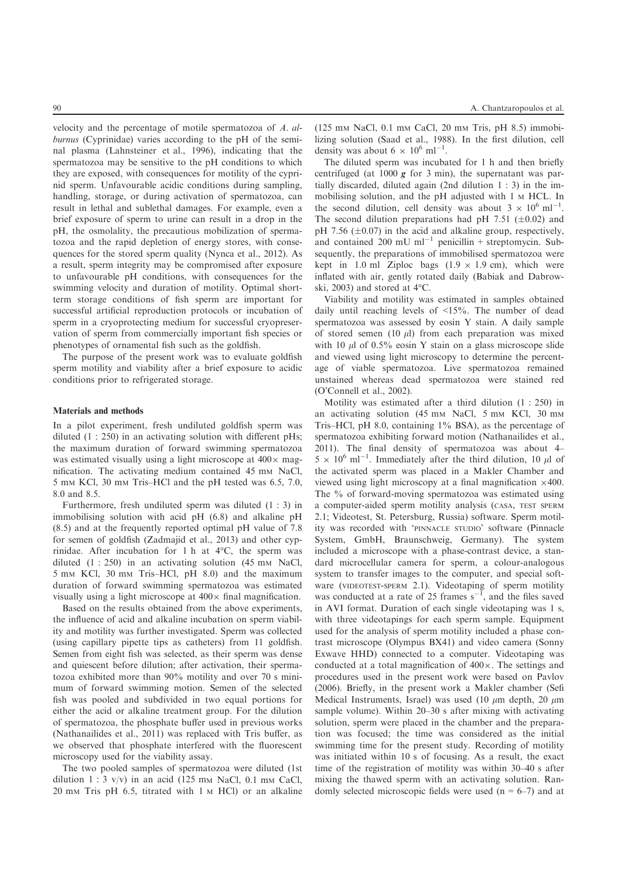velocity and the percentage of motile spermatozoa of *A. alburnus* (Cyprinidae) varies according to the pH of the seminal plasma (Lahnsteiner et al., 1996), indicating that the spermatozoa may be sensitive to the pH conditions to which they are exposed, with consequences for motility of the cyprinid sperm. Unfavourable acidic conditions during sampling, handling, storage, or during activation of spermatozoa, can result in lethal and sublethal damages. For example, even a brief exposure of sperm to urine can result in a drop in the pH, the osmolality, the precautious mobilization of spermatozoa and the rapid depletion of energy stores, with consequences for the stored sperm quality (Nynca et al., 2012). As a result, sperm integrity may be compromised after exposure to unfavourable pH conditions, with consequences for the swimming velocity and duration of motility. Optimal shortterm storage conditions of fish sperm are important for successful artificial reproduction protocols or incubation of sperm in a cryoprotecting medium for successful cryopreservation of sperm from commercially important fish species or phenotypes of ornamental fish such as the goldfish.

The purpose of the present work was to evaluate goldfish sperm motility and viability after a brief exposure to acidic conditions prior to refrigerated storage.

## Materials and methods

In a pilot experiment, fresh undiluted goldfish sperm was diluted  $(1: 250)$  in an activating solution with different pHs; the maximum duration of forward swimming spermatozoa was estimated visually using a light microscope at  $400 \times$  magnification. The activating medium contained 45 mm NaCl, 5 m<sup>M</sup> KCl, 30 m<sup>M</sup> Tris–HCl and the pH tested was 6.5, 7.0, 8.0 and 8.5.

Furthermore, fresh undiluted sperm was diluted (1 : 3) in immobilising solution with acid pH (6.8) and alkaline pH (8.5) and at the frequently reported optimal pH value of 7.8 for semen of goldfish (Zadmajid et al., 2013) and other cyprinidae. After incubation for 1 h at 4°C, the sperm was diluted  $(1: 250)$  in an activating solution  $(45 \text{ mm NaCl})$ , 5 m<sup>M</sup> KCl, 30 m<sup>M</sup> Tris–HCl, pH 8.0) and the maximum duration of forward swimming spermatozoa was estimated visually using a light microscope at  $400 \times$  final magnification.

Based on the results obtained from the above experiments, the influence of acid and alkaline incubation on sperm viability and motility was further investigated. Sperm was collected (using capillary pipette tips as catheters) from 11 goldfish. Semen from eight fish was selected, as their sperm was dense and quiescent before dilution; after activation, their spermatozoa exhibited more than 90% motility and over 70 s minimum of forward swimming motion. Semen of the selected fish was pooled and subdivided in two equal portions for either the acid or alkaline treatment group. For the dilution of spermatozoa, the phosphate buffer used in previous works (Nathanailides et al., 2011) was replaced with Tris buffer, as we observed that phosphate interfered with the fluorescent microscopy used for the viability assay.

The two pooled samples of spermatozoa were diluted (1st dilution  $1:3$  v/v) in an acid (125 mm NaCl, 0.1 mm CaCl, 20 m<sup>M</sup> Tris pH 6.5, titrated with 1 <sup>M</sup> HCl) or an alkaline

90 A. Chantzaropoulos et al.

(125 m<sup>M</sup> NaCl, 0.1 m<sup>M</sup> CaCl, 20 m<sup>M</sup> Tris, pH 8.5) immobilizing solution (Saad et al., 1988). In the first dilution, cell density was about  $6 \times 10^6$  ml<sup>-1</sup>.

The diluted sperm was incubated for 1 h and then briefly centrifuged (at  $1000 g$  for 3 min), the supernatant was partially discarded, diluted again (2nd dilution 1 : 3) in the immobilising solution, and the pH adjusted with 1 <sup>M</sup> HCL. In the second dilution, cell density was about  $3 \times 10^6$  ml<sup>-1</sup>. The second dilution preparations had pH 7.51 ( $\pm$ 0.02) and pH 7.56  $(\pm 0.07)$  in the acid and alkaline group, respectively, and contained 200 mU ml<sup>-1</sup> penicillin + streptomycin. Subsequently, the preparations of immobilised spermatozoa were kept in 1.0 ml Ziploc bags  $(1.9 \times 1.9 \text{ cm})$ , which were inflated with air, gently rotated daily (Babiak and Dabrowski, 2003) and stored at 4°C.

Viability and motility was estimated in samples obtained daily until reaching levels of <15%. The number of dead spermatozoa was assessed by eosin Y stain. A daily sample of stored semen (10  $\mu$ ) from each preparation was mixed with 10  $\mu$ l of 0.5% eosin Y stain on a glass microscope slide and viewed using light microscopy to determine the percentage of viable spermatozoa. Live spermatozoa remained unstained whereas dead spermatozoa were stained red (O'Connell et al., 2002).

Motility was estimated after a third dilution (1 : 250) in an activating solution (45 mm NaCl, 5 mm KCl, 30 mm Tris–HCl, pH 8.0, containing 1% BSA), as the percentage of spermatozoa exhibiting forward motion (Nathanailides et al., 2011). The final density of spermatozoa was about 4–  $5 \times 10^6$  ml<sup>-1</sup>. Immediately after the third dilution, 10  $\mu$ l of the activated sperm was placed in a Makler Chamber and viewed using light microscopy at a final magnification  $\times$ 400. The % of forward-moving spermatozoa was estimated using a computer-aided sperm motility analysis (CASA, TEST SPERM 2.1; Videotest, St. Petersburg, Russia) software. Sperm motility was recorded with 'PINNACLE STUDIO' software (Pinnacle System, GmbH, Braunschweig, Germany). The system included a microscope with a phase-contrast device, a standard microcellular camera for sperm, a colour-analogous system to transfer images to the computer, and special software (VIDEOTEST-SPERM 2.1). Videotaping of sperm motility was conducted at a rate of 25 frames  $s^{-1}$ , and the files saved in AVI format. Duration of each single videotaping was 1 s, with three videotapings for each sperm sample. Equipment used for the analysis of sperm motility included a phase contrast microscope (Olympus BX41) and video camera (Sonny Exwave HHD) connected to a computer. Videotaping was conducted at a total magnification of  $400 \times$ . The settings and procedures used in the present work were based on Pavlov (2006). Briefly, in the present work a Makler chamber (Sefi Medical Instruments, Israel) was used (10  $\mu$ m depth, 20  $\mu$ m sample volume). Within 20–30 s after mixing with activating solution, sperm were placed in the chamber and the preparation was focused; the time was considered as the initial swimming time for the present study. Recording of motility was initiated within 10 s of focusing. As a result, the exact time of the registration of motility was within 30–40 s after mixing the thawed sperm with an activating solution. Randomly selected microscopic fields were used  $(n = 6-7)$  and at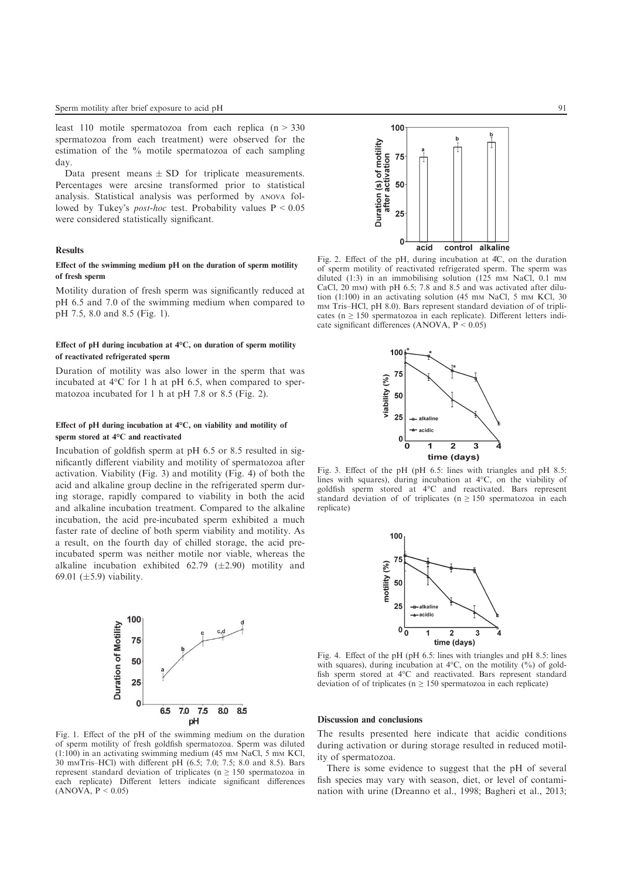least 110 motile spermatozoa from each replica  $(n > 330)$ spermatozoa from each treatment) were observed for the estimation of the % motile spermatozoa of each sampling day.

Data present means  $\pm$  SD for triplicate measurements. Percentages were arcsine transformed prior to statistical analysis. Statistical analysis was performed by ANOVA followed by Tukey's *post-hoc* test. Probability values P < 0.05 were considered statistically significant.

#### Results

## Effect of the swimming medium pH on the duration of sperm motility of fresh sperm

Motility duration of fresh sperm was significantly reduced at pH 6.5 and 7.0 of the swimming medium when compared to pH 7.5, 8.0 and 8.5 (Fig. 1).

## Effect of pH during incubation at  $4^{\circ}C$ , on duration of sperm motility of reactivated refrigerated sperm

Duration of motility was also lower in the sperm that was incubated at 4°C for 1 h at pH 6.5, when compared to spermatozoa incubated for 1 h at pH 7.8 or 8.5 (Fig. 2).

#### Effect of pH during incubation at  $4^{\circ}$ C, on viability and motility of sperm stored at 4°C and reactivated

Incubation of goldfish sperm at pH 6.5 or 8.5 resulted in significantly different viability and motility of spermatozoa after activation. Viability (Fig. 3) and motility (Fig. 4) of both the acid and alkaline group decline in the refrigerated sperm during storage, rapidly compared to viability in both the acid and alkaline incubation treatment. Compared to the alkaline incubation, the acid pre-incubated sperm exhibited a much faster rate of decline of both sperm viability and motility. As a result, on the fourth day of chilled storage, the acid preincubated sperm was neither motile nor viable, whereas the alkaline incubation exhibited  $62.79$  ( $\pm 2.90$ ) motility and 69.01 ( $\pm$ 5.9) viability.



Fig. 1. Effect of the pH of the swimming medium on the duration of sperm motility of fresh goldfish spermatozoa. Sperm was diluted  $(1:100)$  in an activating swimming medium (45 mm NaCl, 5 mm KCl, 30 mMTris–HCl) with different pH (6.5; 7.0; 7.5; 8.0 and 8.5). Bars represent standard deviation of triplicates ( $n \geq 150$  spermatozoa in each replicate) Different letters indicate significant differences  $(ANOVA, P < 0.05)$ 



Fig. 2. Effect of the pH, during incubation at 4°C, on the duration of sperm motility of reactivated refrigerated sperm. The sperm was diluted (1:3) in an immobilising solution (125 mm NaCl, 0.1 mm CaCl, 20 mM) with pH 6.5; 7.8 and 8.5 and was activated after dilution (1:100) in an activating solution (45 mm NaCl, 5 mm KCl, 30 mm Tris–HCl, pH 8.0). Bars represent standard deviation of of triplicates ( $n \ge 150$  spermatozoa in each replicate). Different letters indicate significant differences (ANOVA,  $P < 0.05$ )



Fig. 3. Effect of the pH (pH 6.5: lines with triangles and pH 8.5: lines with squares), during incubation at  $4^{\circ}C$ , on the viability of goldfish sperm stored at 4°C and reactivated. Bars represent standard deviation of of triplicates ( $n \ge 150$  spermatozoa in each replicate)



Fig. 4. Effect of the pH (pH 6.5: lines with triangles and pH 8.5: lines with squares), during incubation at  $4^{\circ}C$ , on the motility  $(%)$  of goldfish sperm stored at 4°C and reactivated. Bars represent standard deviation of of triplicates ( $n \geq 150$  spermatozoa in each replicate)

#### Discussion and conclusions

The results presented here indicate that acidic conditions during activation or during storage resulted in reduced motility of spermatozoa.

There is some evidence to suggest that the pH of several fish species may vary with season, diet, or level of contamination with urine (Dreanno et al., 1998; Bagheri et al., 2013;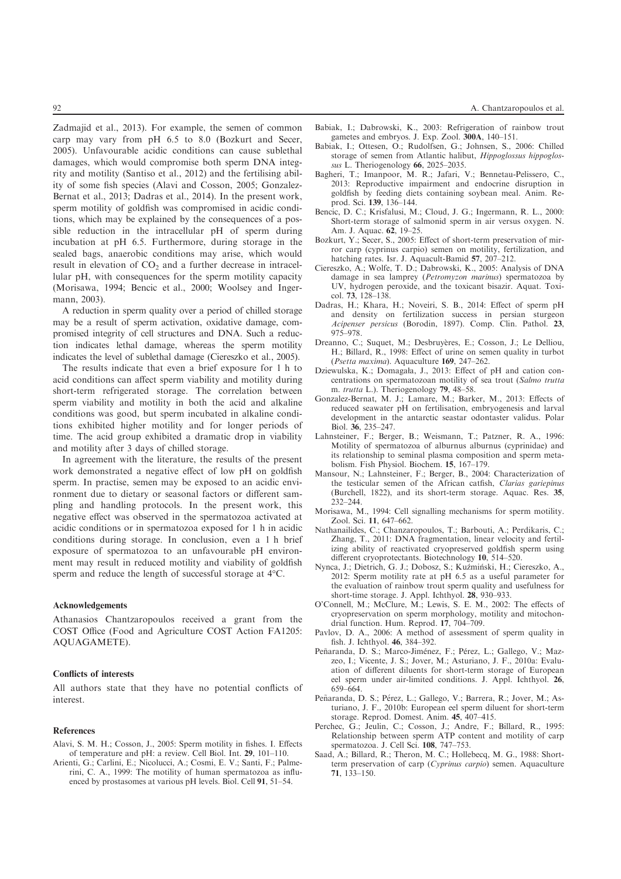Zadmajid et al., 2013). For example, the semen of common carp may vary from pH 6.5 to 8.0 (Bozkurt and Secer, 2005). Unfavourable acidic conditions can cause sublethal damages, which would compromise both sperm DNA integrity and motility (Santiso et al., 2012) and the fertilising ability of some fish species (Alavi and Cosson, 2005; Gonzalez-Bernat et al., 2013; Dadras et al., 2014). In the present work, sperm motility of goldfish was compromised in acidic conditions, which may be explained by the consequences of a possible reduction in the intracellular pH of sperm during incubation at pH 6.5. Furthermore, during storage in the sealed bags, anaerobic conditions may arise, which would result in elevation of  $CO<sub>2</sub>$  and a further decrease in intracellular pH, with consequences for the sperm motility capacity (Morisawa, 1994; Bencic et al., 2000; Woolsey and Ingermann, 2003).

A reduction in sperm quality over a period of chilled storage may be a result of sperm activation, oxidative damage, compromised integrity of cell structures and DNA. Such a reduction indicates lethal damage, whereas the sperm motility indicates the level of sublethal damage (Ciereszko et al., 2005).

The results indicate that even a brief exposure for 1 h to acid conditions can affect sperm viability and motility during short-term refrigerated storage. The correlation between sperm viability and motility in both the acid and alkaline conditions was good, but sperm incubated in alkaline conditions exhibited higher motility and for longer periods of time. The acid group exhibited a dramatic drop in viability and motility after 3 days of chilled storage.

In agreement with the literature, the results of the present work demonstrated a negative effect of low pH on goldfish sperm. In practise, semen may be exposed to an acidic environment due to dietary or seasonal factors or different sampling and handling protocols. In the present work, this negative effect was observed in the spermatozoa activated at acidic conditions or in spermatozoa exposed for 1 h in acidic conditions during storage. In conclusion, even a 1 h brief exposure of spermatozoa to an unfavourable pH environment may result in reduced motility and viability of goldfish sperm and reduce the length of successful storage at 4°C.

#### Acknowledgements

Athanasios Chantzaropoulos received a grant from the COST Office (Food and Agriculture COST Action FA1205: AQUAGAMETE).

#### Conflicts of interests

All authors state that they have no potential conflicts of interest.

#### References

- Alavi, S. M. H.; Cosson, J., 2005: Sperm motility in fishes. I. Effects of temperature and pH: a review. Cell Biol. Int. 29, 101–110.
- Arienti, G.; Carlini, E.; Nicolucci, A.; Cosmi, E. V.; Santi, F.; Palmerini, C. A., 1999: The motility of human spermatozoa as influenced by prostasomes at various pH levels. Biol. Cell 91, 51–54.
- Babiak, I.; Dabrowski, K., 2003: Refrigeration of rainbow trout gametes and embryos. J. Exp. Zool. 300A, 140–151.
- Babiak, I.; Ottesen, O.; Rudolfsen, G.; Johnsen, S., 2006: Chilled storage of semen from Atlantic halibut, *Hippoglossus hippoglossus* L. Theriogenology 66, 2025–2035.
- Bagheri, T.; Imanpoor, M. R.; Jafari, V.; Bennetau-Pelissero, C., 2013: Reproductive impairment and endocrine disruption in goldfish by feeding diets containing soybean meal. Anim. Reprod. Sci. 139, 136–144.
- Bencic, D. C.; Krisfalusi, M.; Cloud, J. G.; Ingermann, R. L., 2000: Short-term storage of salmonid sperm in air versus oxygen. N. Am. J. Aquac. 62, 19–25.
- Bozkurt, Y.; Secer, S., 2005: Effect of short-term preservation of mirror carp (cyprinus carpio) semen on motility, fertilization, and hatching rates. Isr. J. Aquacult-Bamid 57, 207–212.
- Ciereszko, A.; Wolfe, T. D.; Dabrowski, K., 2005: Analysis of DNA damage in sea lamprey (*Petromyzon marinus*) spermatozoa by UV, hydrogen peroxide, and the toxicant bisazir. Aquat. Toxicol. 73, 128–138.
- Dadras, H.; Khara, H.; Noveiri, S. B., 2014: Effect of sperm pH and density on fertilization success in persian sturgeon *Acipenser persicus* (Borodin, 1897). Comp. Clin. Pathol. 23, 975–978.
- Dreanno, C.; Suquet, M.; Desbruyères, E.; Cosson, J.; Le Delliou, H.; Billard, R., 1998: Effect of urine on semen quality in turbot (*Psetta maxima*). Aquaculture 169, 247–262.
- Dziewulska, K.; Domagała, J., 2013: Effect of pH and cation concentrations on spermatozoan motility of sea trout (*Salmo trutta* m. *trutta* L.). Theriogenology 79, 48–58.
- Gonzalez-Bernat, M. J.; Lamare, M.; Barker, M., 2013: Effects of reduced seawater pH on fertilisation, embryogenesis and larval development in the antarctic seastar odontaster validus. Polar Biol. 36, 235–247.
- Lahnsteiner, F.; Berger, B.; Weismann, T.; Patzner, R. A., 1996: Motility of spermatozoa of alburnus alburnus (cyprinidae) and its relationship to seminal plasma composition and sperm metabolism. Fish Physiol. Biochem. 15, 167–179.
- Mansour, N.; Lahnsteiner, F.; Berger, B., 2004: Characterization of the testicular semen of the African catfish, *Clarias gariepinus* (Burchell, 1822), and its short-term storage. Aquac. Res. 35, 232–244.
- Morisawa, M., 1994: Cell signalling mechanisms for sperm motility. Zool. Sci. 11, 647–662.
- Nathanailides, C.; Chanzaropoulos, T.; Barbouti, A.; Perdikaris, C.; Zhang, T., 2011: DNA fragmentation, linear velocity and fertilizing ability of reactivated cryopreserved goldfish sperm using different cryoprotectants. Biotechnology 10, 514–520.
- Nynca, J.; Dietrich, G. J.; Dobosz, S.; Kuźmiński, H.; Ciereszko, A., 2012: Sperm motility rate at pH 6.5 as a useful parameter for the evaluation of rainbow trout sperm quality and usefulness for short-time storage. J. Appl. Ichthyol. 28, 930-933.
- O'Connell, M.; McClure, M.; Lewis, S. E. M., 2002: The effects of cryopreservation on sperm morphology, motility and mitochondrial function. Hum. Reprod. 17, 704–709.
- Pavlov, D. A., 2006: A method of assessment of sperm quality in fish. J. Ichthyol. 46, 384–392.
- Peñaranda, D. S.; Marco-Jiménez, F.; Pérez, L.; Gallego, V.; Mazzeo, I.; Vicente, J. S.; Jover, M.; Asturiano, J. F., 2010a: Evaluation of different diluents for short-term storage of European eel sperm under air-limited conditions. J. Appl. Ichthyol. 26, 659–664.
- Peñaranda, D. S.; Pérez, L.; Gallego, V.; Barrera, R.; Jover, M.; Asturiano, J. F., 2010b: European eel sperm diluent for short-term storage. Reprod. Domest. Anim. 45, 407–415.
- Perchec, G.; Jeulin, C.; Cosson, J.; Andre, F.; Billard, R., 1995: Relationship between sperm ATP content and motility of carp spermatozoa. J. Cell Sci. 108, 747–753.
- Saad, A.; Billard, R.; Theron, M. C.; Hollebecq, M. G., 1988: Shortterm preservation of carp (*Cyprinus carpio*) semen. Aquaculture 71, 133–150.